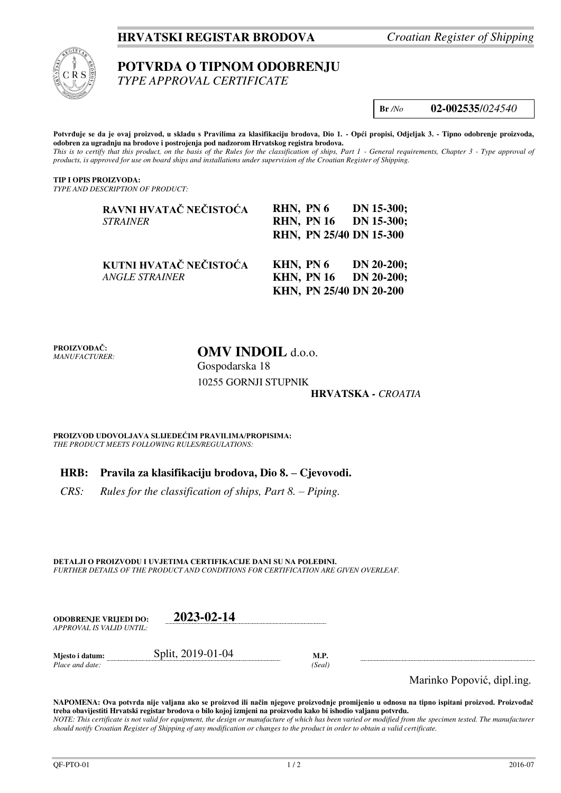# **HRVATSKI REGISTAR BRODOVA** *Croatian Register of Shipping*



# **POTVRDA O TIPNOM ODOBRENJU**

*TYPE APPROVAL CERTIFICATE* 

**Br** */No* **02-002535**/*024540*

**Potvrđuje se da je ovaj proizvod, u skladu s Pravilima za klasifikaciju brodova, Dio 1. - Opći propisi, Odjeljak 3. - Tipno odobrenje proizvoda, odobren za ugradnju na brodove i postrojenja pod nadzorom Hrvatskog registra brodova.**  *This is to certify that this product, on the basis of the Rules for the classification of ships, Part 1 - General requirements, Chapter 3 - Type approval of products, is approved for use on board ships and installations under supervision of the Croatian Register of Shipping.* 

**TIP I OPIS PROIZVODA:** *TYPE AND DESCRIPTION OF PRODUCT:* 

| RAVNI HVATAČ NEČISTOĆA<br><b>STRAINER</b>       | RHN, PN 6<br>RHN, PN 16 DN 15-300;<br>RHN, PN 25/40 DN 15-300 | $DN$ 15-300; |
|-------------------------------------------------|---------------------------------------------------------------|--------------|
| KUTNI HVATAČ NEČISTOĆA<br><b>ANGLE STRAINER</b> | KHN, PN 6<br>KHN, PN 16 DN 20-200;<br>KHN, PN 25/40 DN 20-200 | $DN 20-200;$ |

**PROIZVOĐAČ:** *MANUFACTURER:* **OMV INDOIL** d.o.o. Gospodarska 18

10255 GORNJI STUPNIK

## **HRVATSKA** *- CROATIA*

**PROIZVOD UDOVOLJAVA SLIJEDEĆIM PRAVILIMA/PROPISIMA:** *THE PRODUCT MEETS FOLLOWING RULES/REGULATIONS:* 

## **HRB: Pravila za klasifikaciju brodova, Dio 8. – Cjevovodi.**

*CRS:* Rules for the classification of ships, Part 8. – Piping.

**DETALJI O PROIZVODU I UVJETIMA CERTIFIKACIJE DANI SU NA POLEĐINI.** *FURTHER DETAILS OF THE PRODUCT AND CONDITIONS FOR CERTIFICATION ARE GIVEN OVERLEAF.* 

| <b>ODOBRENJE VRLJEDI DO:</b> | 2023-02-14        |      |
|------------------------------|-------------------|------|
| APPROVAL IS VALID UNTIL:     |                   |      |
| Miesto i datum:              | Split, 2019-01-04 | M.P. |

*Place and date: (Seal)* 

Marinko Popović, dipl.ing.

**NAPOMENA: Ova potvrda nije valjana ako se proizvod ili način njegove proizvodnje promijenio u odnosu na tipno ispitani proizvod. Proizvođač treba obavijestiti Hrvatski registar brodova o bilo kojoj izmjeni na proizvodu kako bi ishodio valjanu potvrdu.**  *NOTE: This certificate is not valid for equipment, the design or manufacture of which has been varied or modified from the specimen tested. The manufacturer should notify Croatian Register of Shipping of any modification or changes to the product in order to obtain a valid certificate.*